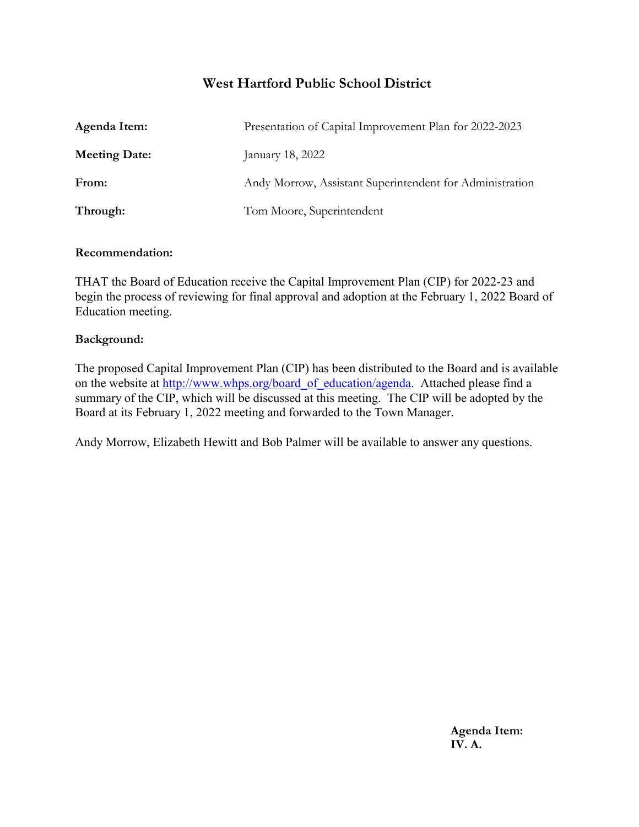### **West Hartford Public School District**

| Agenda Item:         | Presentation of Capital Improvement Plan for 2022-2023   |
|----------------------|----------------------------------------------------------|
| <b>Meeting Date:</b> | January 18, 2022                                         |
| From:                | Andy Morrow, Assistant Superintendent for Administration |
| Through:             | Tom Moore, Superintendent                                |

#### **Recommendation:**

THAT the Board of Education receive the Capital Improvement Plan (CIP) for 2022-23 and begin the process of reviewing for final approval and adoption at the February 1, 2022 Board of Education meeting.

#### **Background:**

The proposed Capital Improvement Plan (CIP) has been distributed to the Board and is available on the website at [http://www.whps.org/board\\_of\\_education/agenda.](http://www.whps.org/board_of_education/agenda) Attached please find a summary of the CIP, which will be discussed at this meeting. The CIP will be adopted by the Board at its February 1, 2022 meeting and forwarded to the Town Manager.

Andy Morrow, Elizabeth Hewitt and Bob Palmer will be available to answer any questions.

**Agenda Item: IV. A.**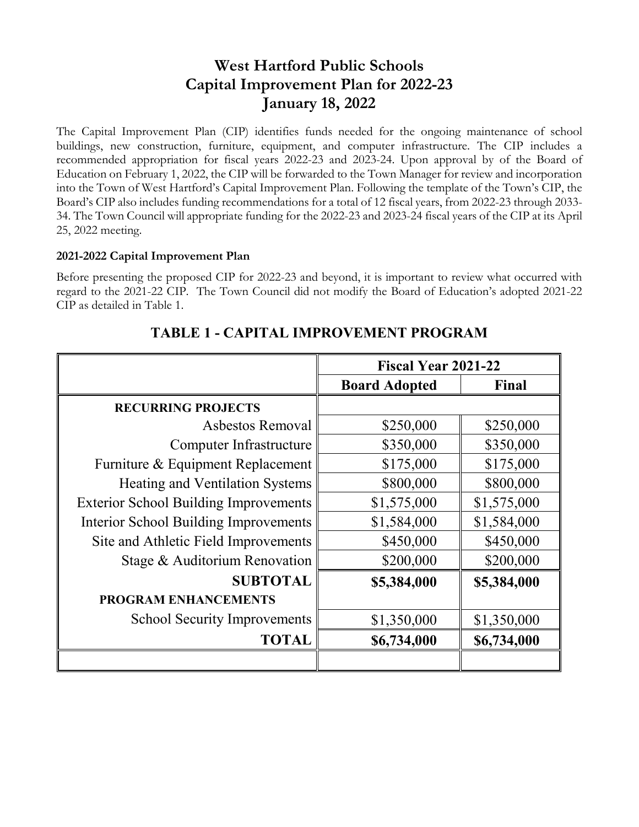# **West Hartford Public Schools Capital Improvement Plan for 2022-23 January 18, 2022**

The Capital Improvement Plan (CIP) identifies funds needed for the ongoing maintenance of school buildings, new construction, furniture, equipment, and computer infrastructure. The CIP includes a recommended appropriation for fiscal years 2022-23 and 2023-24. Upon approval by of the Board of Education on February 1, 2022, the CIP will be forwarded to the Town Manager for review and incorporation into the Town of West Hartford's Capital Improvement Plan. Following the template of the Town's CIP, the Board's CIP also includes funding recommendations for a total of 12 fiscal years, from 2022-23 through 2033- 34. The Town Council will appropriate funding for the 2022-23 and 2023-24 fiscal years of the CIP at its April 25, 2022 meeting.

#### **2021-2022 Capital Improvement Plan**

Before presenting the proposed CIP for 2022-23 and beyond, it is important to review what occurred with regard to the 2021-22 CIP. The Town Council did not modify the Board of Education's adopted 2021-22 CIP as detailed in Table 1.

|                                              | <b>Fiscal Year 2021-22</b> |             |
|----------------------------------------------|----------------------------|-------------|
|                                              | <b>Board Adopted</b>       | Final       |
| <b>RECURRING PROJECTS</b>                    |                            |             |
| Asbestos Removal                             | \$250,000                  | \$250,000   |
| Computer Infrastructure                      | \$350,000                  | \$350,000   |
| Furniture & Equipment Replacement            | \$175,000                  | \$175,000   |
| Heating and Ventilation Systems              | \$800,000                  | \$800,000   |
| <b>Exterior School Building Improvements</b> | \$1,575,000                | \$1,575,000 |
| Interior School Building Improvements        | \$1,584,000                | \$1,584,000 |
| Site and Athletic Field Improvements         | \$450,000                  | \$450,000   |
| Stage & Auditorium Renovation                | \$200,000                  | \$200,000   |
| <b>SUBTOTAL</b>                              | \$5,384,000                | \$5,384,000 |
| <b>PROGRAM ENHANCEMENTS</b>                  |                            |             |
| <b>School Security Improvements</b>          | \$1,350,000                | \$1,350,000 |
| <b>TOTAL</b>                                 | \$6,734,000                | \$6,734,000 |
|                                              |                            |             |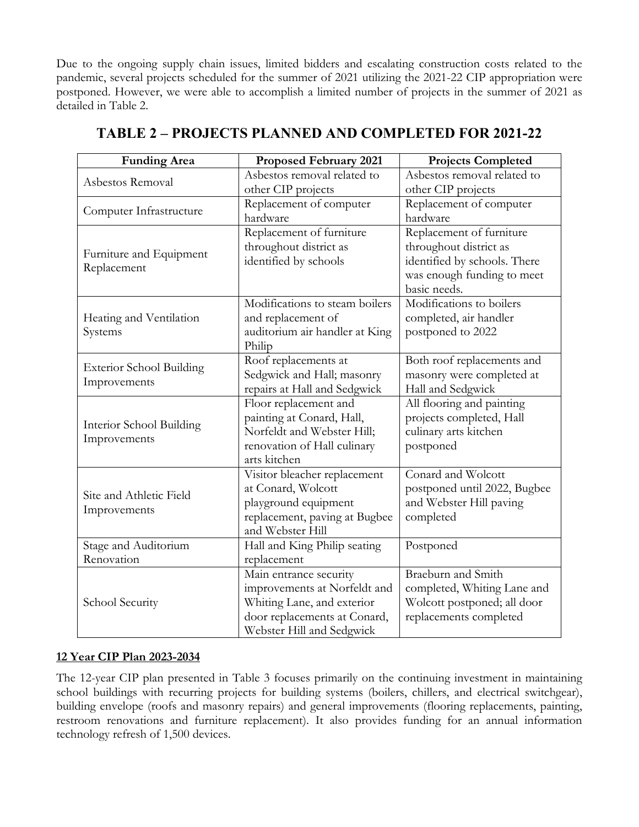Due to the ongoing supply chain issues, limited bidders and escalating construction costs related to the pandemic, several projects scheduled for the summer of 2021 utilizing the 2021-22 CIP appropriation were postponed. However, we were able to accomplish a limited number of projects in the summer of 2021 as detailed in Table 2.

| <b>Funding Area</b>                             | <b>Proposed February 2021</b>                                                                                                                     | <b>Projects Completed</b>                                                                                                        |
|-------------------------------------------------|---------------------------------------------------------------------------------------------------------------------------------------------------|----------------------------------------------------------------------------------------------------------------------------------|
| Asbestos Removal                                | Asbestos removal related to<br>other CIP projects                                                                                                 | Asbestos removal related to<br>other CIP projects                                                                                |
| Computer Infrastructure                         | Replacement of computer<br>hardware                                                                                                               | Replacement of computer<br>hardware                                                                                              |
| Furniture and Equipment<br>Replacement          | Replacement of furniture<br>throughout district as<br>identified by schools                                                                       | Replacement of furniture<br>throughout district as<br>identified by schools. There<br>was enough funding to meet<br>basic needs. |
| Heating and Ventilation<br>Systems              | Modifications to steam boilers<br>and replacement of<br>auditorium air handler at King<br>Philip                                                  | Modifications to boilers<br>completed, air handler<br>postponed to 2022                                                          |
| <b>Exterior School Building</b><br>Improvements | Roof replacements at<br>Sedgwick and Hall; masonry<br>repairs at Hall and Sedgwick                                                                | Both roof replacements and<br>masonry were completed at<br>Hall and Sedgwick                                                     |
| Interior School Building<br>Improvements        | Floor replacement and<br>painting at Conard, Hall,<br>Norfeldt and Webster Hill;<br>renovation of Hall culinary<br>arts kitchen                   | All flooring and painting<br>projects completed, Hall<br>culinary arts kitchen<br>postponed                                      |
| Site and Athletic Field<br>Improvements         | Visitor bleacher replacement<br>at Conard, Wolcott<br>playground equipment<br>replacement, paving at Bugbee<br>and Webster Hill                   | Conard and Wolcott<br>postponed until 2022, Bugbee<br>and Webster Hill paving<br>completed                                       |
| Stage and Auditorium<br>Renovation              | Hall and King Philip seating<br>replacement                                                                                                       | Postponed                                                                                                                        |
| School Security                                 | Main entrance security<br>improvements at Norfeldt and<br>Whiting Lane, and exterior<br>door replacements at Conard,<br>Webster Hill and Sedgwick | Braeburn and Smith<br>completed, Whiting Lane and<br>Wolcott postponed; all door<br>replacements completed                       |

### **TABLE 2 – PROJECTS PLANNED AND COMPLETED FOR 2021-22**

#### **12 Year CIP Plan 2023-2034**

The 12-year CIP plan presented in Table 3 focuses primarily on the continuing investment in maintaining school buildings with recurring projects for building systems (boilers, chillers, and electrical switchgear), building envelope (roofs and masonry repairs) and general improvements (flooring replacements, painting, restroom renovations and furniture replacement). It also provides funding for an annual information technology refresh of 1,500 devices.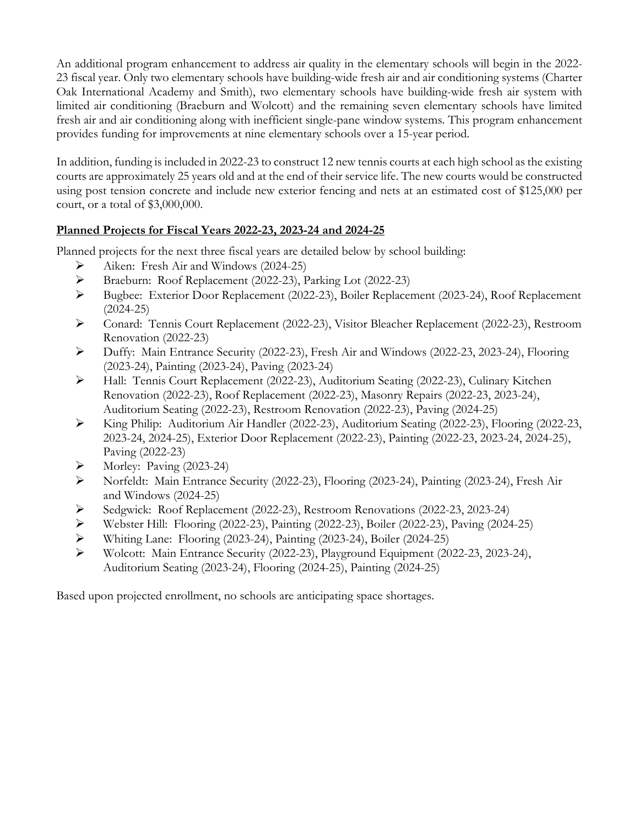An additional program enhancement to address air quality in the elementary schools will begin in the 2022- 23 fiscal year. Only two elementary schools have building-wide fresh air and air conditioning systems (Charter Oak International Academy and Smith), two elementary schools have building-wide fresh air system with limited air conditioning (Braeburn and Wolcott) and the remaining seven elementary schools have limited fresh air and air conditioning along with inefficient single-pane window systems. This program enhancement provides funding for improvements at nine elementary schools over a 15-year period.

In addition, funding is included in 2022-23 to construct 12 new tennis courts at each high school as the existing courts are approximately 25 years old and at the end of their service life. The new courts would be constructed using post tension concrete and include new exterior fencing and nets at an estimated cost of \$125,000 per court, or a total of \$3,000,000.

#### **Planned Projects for Fiscal Years 2022-23, 2023-24 and 2024-25**

Planned projects for the next three fiscal years are detailed below by school building:

- Aiken: Fresh Air and Windows (2024-25)
- Braeburn: Roof Replacement (2022-23), Parking Lot (2022-23)
- Bugbee: Exterior Door Replacement (2022-23), Boiler Replacement (2023-24), Roof Replacement (2024-25)
- Conard: Tennis Court Replacement (2022-23), Visitor Bleacher Replacement (2022-23), Restroom Renovation (2022-23)
- Duffy: Main Entrance Security (2022-23), Fresh Air and Windows (2022-23, 2023-24), Flooring (2023-24), Painting (2023-24), Paving (2023-24)
- Hall: Tennis Court Replacement (2022-23), Auditorium Seating (2022-23), Culinary Kitchen Renovation (2022-23), Roof Replacement (2022-23), Masonry Repairs (2022-23, 2023-24), Auditorium Seating (2022-23), Restroom Renovation (2022-23), Paving (2024-25)
- King Philip: Auditorium Air Handler (2022-23), Auditorium Seating (2022-23), Flooring (2022-23, 2023-24, 2024-25), Exterior Door Replacement (2022-23), Painting (2022-23, 2023-24, 2024-25), Paving (2022-23)
- $\triangleright$  Morley: Paving (2023-24)
- Norfeldt: Main Entrance Security (2022-23), Flooring (2023-24), Painting (2023-24), Fresh Air and Windows (2024-25)
- Sedgwick: Roof Replacement (2022-23), Restroom Renovations (2022-23, 2023-24)
- Webster Hill: Flooring (2022-23), Painting (2022-23), Boiler (2022-23), Paving (2024-25)
- Whiting Lane: Flooring (2023-24), Painting (2023-24), Boiler (2024-25)
- Wolcott: Main Entrance Security (2022-23), Playground Equipment (2022-23, 2023-24), Auditorium Seating (2023-24), Flooring (2024-25), Painting (2024-25)

Based upon projected enrollment, no schools are anticipating space shortages.